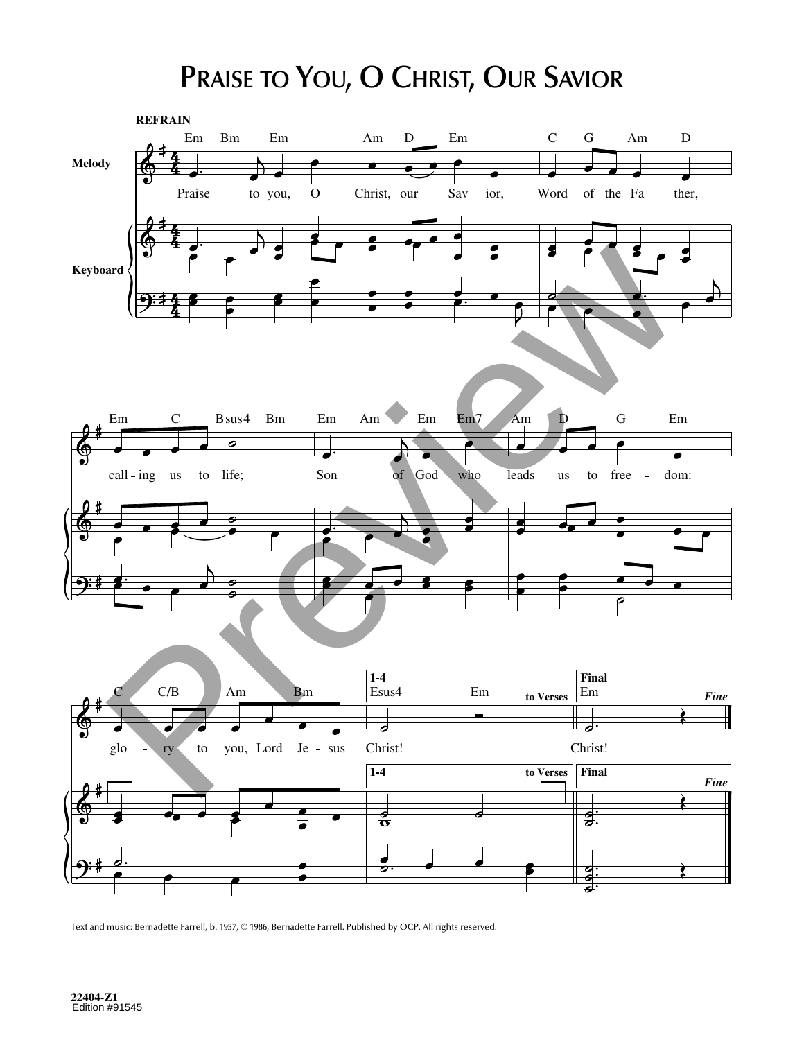## PRAISE TO YOU, O CHRIST, OUR SAVIOR



Text and music: Bernadette Farrell, b. 1957, © 1986, Bernadette Farrell. Published by OCP. All rights reserved.